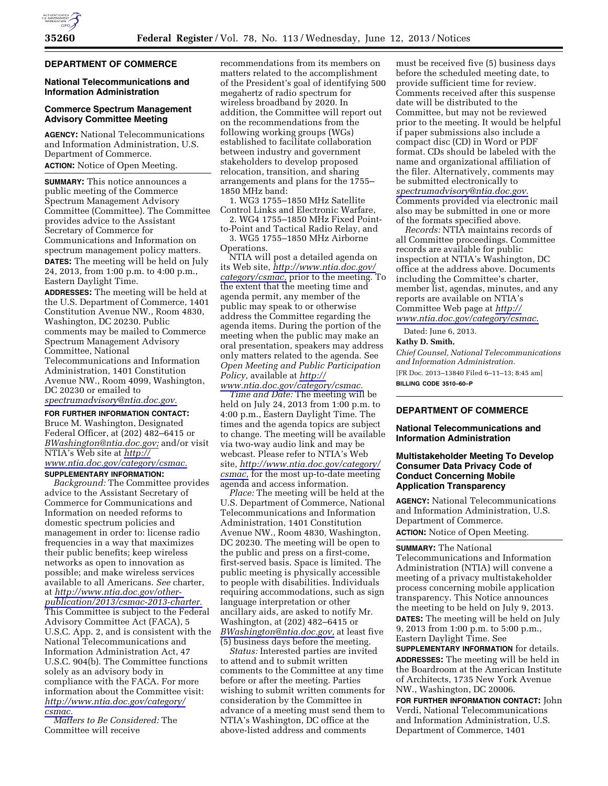#### **DEPARTMENT OF COMMERCE**

# **National Telecommunications and Information Administration**

## **Commerce Spectrum Management Advisory Committee Meeting**

**AGENCY:** National Telecommunications and Information Administration, U.S. Department of Commerce. **ACTION:** Notice of Open Meeting.

**SUMMARY:** This notice announces a public meeting of the Commerce Spectrum Management Advisory Committee (Committee). The Committee provides advice to the Assistant Secretary of Commerce for Communications and Information on spectrum management policy matters. **DATES:** The meeting will be held on July 24, 2013, from 1:00 p.m. to 4:00 p.m., Eastern Daylight Time.

**ADDRESSES:** The meeting will be held at the U.S. Department of Commerce, 1401 Constitution Avenue NW., Room 4830, Washington, DC 20230. Public comments may be mailed to Commerce Spectrum Management Advisory Committee, National Telecommunications and Information Administration, 1401 Constitution Avenue NW., Room 4099, Washington, DC 20230 or emailed to *[spectrumadvisory@ntia.doc.gov.](mailto:spectrumadvisory@ntia.doc.gov)* 

**FOR FURTHER INFORMATION CONTACT:**  Bruce M. Washington, Designated Federal Officer, at (202) 482–6415 or *[BWashington@ntia.doc.gov;](mailto:BWashington@ntia.doc.gov)* and/or visit NTIA's Web site at *[http://](http://www.ntia.doc.gov/category/csmac) [www.ntia.doc.gov/category/csmac.](http://www.ntia.doc.gov/category/csmac)* 

# **SUPPLEMENTARY INFORMATION:**

*Background:* The Committee provides advice to the Assistant Secretary of Commerce for Communications and Information on needed reforms to domestic spectrum policies and management in order to: license radio frequencies in a way that maximizes their public benefits; keep wireless networks as open to innovation as possible; and make wireless services available to all Americans. *See* charter, at *[http://www.ntia.doc.gov/other](http://www.ntia.doc.gov/other-publication/2013/csmac-2013-charter)[publication/2013/csmac-2013-charter.](http://www.ntia.doc.gov/other-publication/2013/csmac-2013-charter)*  This Committee is subject to the Federal Advisory Committee Act (FACA), 5 U.S.C. App. 2, and is consistent with the National Telecommunications and Information Administration Act, 47 U.S.C. 904(b). The Committee functions solely as an advisory body in compliance with the FACA. For more information about the Committee visit: *[http://www.ntia.doc.gov/category/](http://www.ntia.doc.gov/category/csmac)  [csmac.](http://www.ntia.doc.gov/category/csmac)* 

*Matters to Be Considered:* The Committee will receive

recommendations from its members on matters related to the accomplishment of the President's goal of identifying 500 megahertz of radio spectrum for wireless broadband by 2020. In addition, the Committee will report out on the recommendations from the following working groups (WGs) established to facilitate collaboration between industry and government stakeholders to develop proposed relocation, transition, and sharing arrangements and plans for the 1755– 1850 MHz band:

1. WG3 1755–1850 MHz Satellite Control Links and Electronic Warfare,

2. WG4 1755–1850 MHz Fixed Pointto-Point and Tactical Radio Relay, and 3. WG5 1755–1850 MHz Airborne

Operations. NTIA will post a detailed agenda on its Web site, *[http://www.ntia.doc.gov/](http://www.ntia.doc.gov/category/csmac) [category/csmac,](http://www.ntia.doc.gov/category/csmac)* prior to the meeting. To the extent that the meeting time and agenda permit, any member of the public may speak to or otherwise address the Committee regarding the agenda items. During the portion of the meeting when the public may make an oral presentation, speakers may address only matters related to the agenda. See *Open Meeting and Public Participation Policy,* available at *[http://](http://www.ntia.doc.gov/category/csmac) [www.ntia.doc.gov/category/csmac.](http://www.ntia.doc.gov/category/csmac)* 

*Time and Date:* The meeting will be held on July 24, 2013 from 1:00 p.m. to 4:00 p.m., Eastern Daylight Time. The times and the agenda topics are subject to change. The meeting will be available via two-way audio link and may be webcast. Please refer to NTIA's Web site, *[http://www.ntia.doc.gov/category/](http://www.ntia.doc.gov/category/csmac) [csmac,](http://www.ntia.doc.gov/category/csmac)* for the most up-to-date meeting agenda and access information.

*Place:* The meeting will be held at the U.S. Department of Commerce, National Telecommunications and Information Administration, 1401 Constitution Avenue NW., Room 4830, Washington, DC 20230. The meeting will be open to the public and press on a first-come, first-served basis. Space is limited. The public meeting is physically accessible to people with disabilities. Individuals requiring accommodations, such as sign language interpretation or other ancillary aids, are asked to notify Mr. Washington, at (202) 482–6415 or *[BWashington@ntia.doc.gov,](mailto:BWashington@ntia.doc.gov)* at least five (5) business days before the meeting.

*Status:* Interested parties are invited to attend and to submit written comments to the Committee at any time before or after the meeting. Parties wishing to submit written comments for consideration by the Committee in advance of a meeting must send them to NTIA's Washington, DC office at the above-listed address and comments

must be received five (5) business days before the scheduled meeting date, to provide sufficient time for review. Comments received after this suspense date will be distributed to the Committee, but may not be reviewed prior to the meeting. It would be helpful if paper submissions also include a compact disc (CD) in Word or PDF format. CDs should be labeled with the name and organizational affiliation of the filer. Alternatively, comments may be submitted electronically to *[spectrumadvisory@ntia.doc.gov.](mailto:spectrumadvisory@ntia.doc.gov)*  Comments provided via electronic mail also may be submitted in one or more of the formats specified above.

*Records:* NTIA maintains records of all Committee proceedings. Committee records are available for public inspection at NTIA's Washington, DC office at the address above. Documents including the Committee's charter, member list, agendas, minutes, and any reports are available on NTIA's Committee Web page at *[http://](http://www.ntia.doc.gov/category/csmac) [www.ntia.doc.gov/category/csmac](http://www.ntia.doc.gov/category/csmac)*.

Dated: June 6, 2013.

## **Kathy D. Smith,**

*Chief Counsel, National Telecommunications and Information Administration.*  [FR Doc. 2013–13840 Filed 6–11–13; 8:45 am] **BILLING CODE 3510–60–P** 

## **DEPARTMENT OF COMMERCE**

#### **National Telecommunications and Information Administration**

## **Multistakeholder Meeting To Develop Consumer Data Privacy Code of Conduct Concerning Mobile Application Transparency**

**AGENCY:** National Telecommunications and Information Administration, U.S. Department of Commerce. **ACTION:** Notice of Open Meeting.

**SUMMARY:** The National

Telecommunications and Information Administration (NTIA) will convene a meeting of a privacy multistakeholder process concerning mobile application transparency. This Notice announces the meeting to be held on July 9, 2013. **DATES:** The meeting will be held on July 9, 2013 from 1:00 p.m. to 5:00 p.m., Eastern Daylight Time. See

**SUPPLEMENTARY INFORMATION** for details. **ADDRESSES:** The meeting will be held in the Boardroom at the American Institute of Architects, 1735 New York Avenue NW., Washington, DC 20006.

**FOR FURTHER INFORMATION CONTACT:** John Verdi, National Telecommunications and Information Administration, U.S. Department of Commerce, 1401